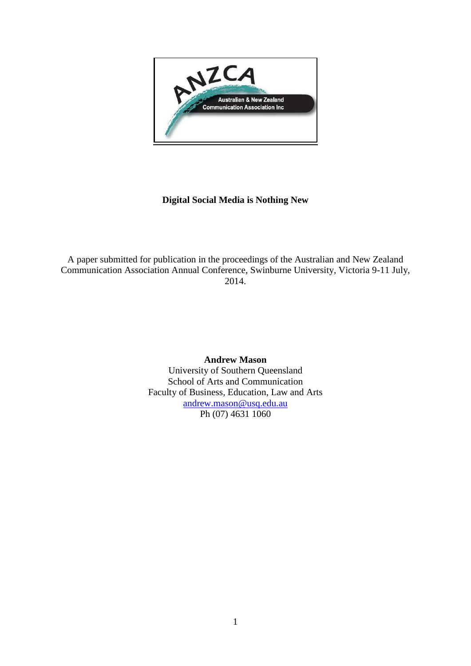

# **Digital Social Media is Nothing New**

A paper submitted for publication in the proceedings of the Australian and New Zealand Communication Association Annual Conference, Swinburne University, Victoria 9-11 July, 2014.

> **Andrew Mason** University of Southern Queensland School of Arts and Communication Faculty of Business, Education, Law and Arts [andrew.mason@usq.edu.au](mailto:Andrew.mason@usq.edu.au) Ph (07) 4631 1060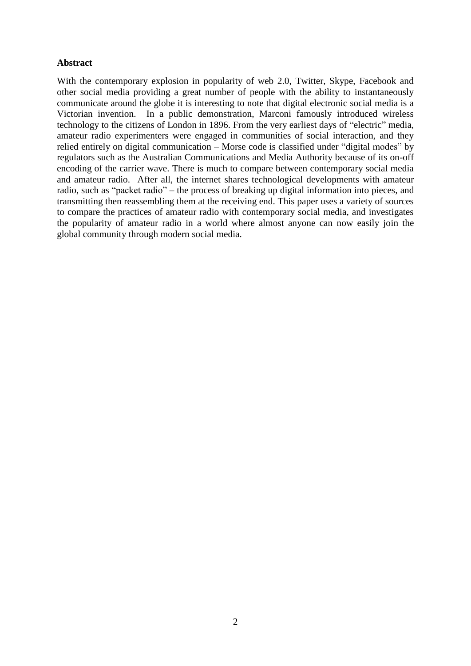## **Abstract**

With the contemporary explosion in popularity of web 2.0, Twitter, Skype, Facebook and other social media providing a great number of people with the ability to instantaneously communicate around the globe it is interesting to note that digital electronic social media is a Victorian invention. In a public demonstration, Marconi famously introduced wireless technology to the citizens of London in 1896. From the very earliest days of "electric" media, amateur radio experimenters were engaged in communities of social interaction, and they relied entirely on digital communication – Morse code is classified under "digital modes" by regulators such as the Australian Communications and Media Authority because of its on-off encoding of the carrier wave. There is much to compare between contemporary social media and amateur radio. After all, the internet shares technological developments with amateur radio, such as "packet radio" – the process of breaking up digital information into pieces, and transmitting then reassembling them at the receiving end. This paper uses a variety of sources to compare the practices of amateur radio with contemporary social media, and investigates the popularity of amateur radio in a world where almost anyone can now easily join the global community through modern social media.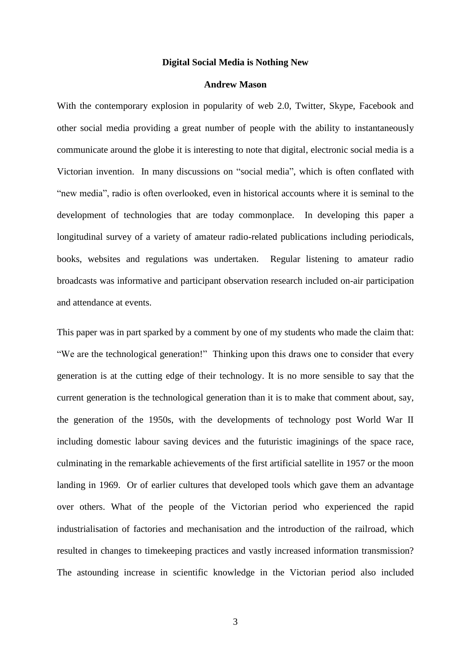#### **Digital Social Media is Nothing New**

#### **Andrew Mason**

With the contemporary explosion in popularity of web 2.0, Twitter, Skype, Facebook and other social media providing a great number of people with the ability to instantaneously communicate around the globe it is interesting to note that digital, electronic social media is a Victorian invention. In many discussions on "social media", which is often conflated with "new media", radio is often overlooked, even in historical accounts where it is seminal to the development of technologies that are today commonplace. In developing this paper a longitudinal survey of a variety of amateur radio-related publications including periodicals, books, websites and regulations was undertaken. Regular listening to amateur radio broadcasts was informative and participant observation research included on-air participation and attendance at events.

This paper was in part sparked by a comment by one of my students who made the claim that: "We are the technological generation!" Thinking upon this draws one to consider that every generation is at the cutting edge of their technology. It is no more sensible to say that the current generation is the technological generation than it is to make that comment about, say, the generation of the 1950s, with the developments of technology post World War II including domestic labour saving devices and the futuristic imaginings of the space race, culminating in the remarkable achievements of the first artificial satellite in 1957 or the moon landing in 1969. Or of earlier cultures that developed tools which gave them an advantage over others. What of the people of the Victorian period who experienced the rapid industrialisation of factories and mechanisation and the introduction of the railroad, which resulted in changes to timekeeping practices and vastly increased information transmission? The astounding increase in scientific knowledge in the Victorian period also included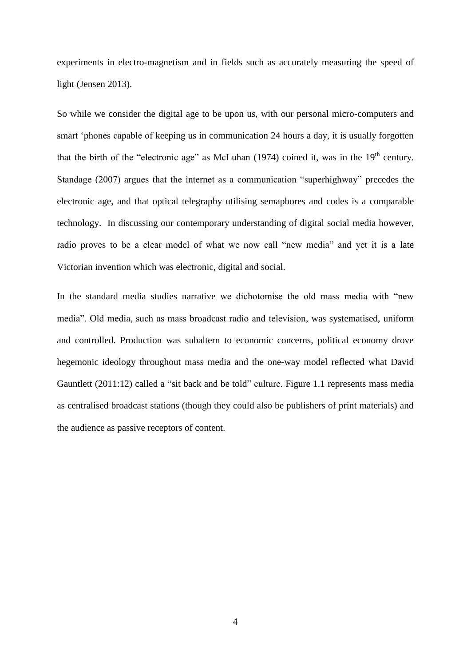experiments in electro-magnetism and in fields such as accurately measuring the speed of light (Jensen 2013).

So while we consider the digital age to be upon us, with our personal micro-computers and smart 'phones capable of keeping us in communication 24 hours a day, it is usually forgotten that the birth of the "electronic age" as McLuhan (1974) coined it, was in the  $19<sup>th</sup>$  century. Standage (2007) argues that the internet as a communication "superhighway" precedes the electronic age, and that optical telegraphy utilising semaphores and codes is a comparable technology. In discussing our contemporary understanding of digital social media however, radio proves to be a clear model of what we now call "new media" and yet it is a late Victorian invention which was electronic, digital and social.

In the standard media studies narrative we dichotomise the old mass media with "new media". Old media, such as mass broadcast radio and television, was systematised, uniform and controlled. Production was subaltern to economic concerns, political economy drove hegemonic ideology throughout mass media and the one-way model reflected what David Gauntlett (2011:12) called a "sit back and be told" culture. Figure 1.1 represents mass media as centralised broadcast stations (though they could also be publishers of print materials) and the audience as passive receptors of content.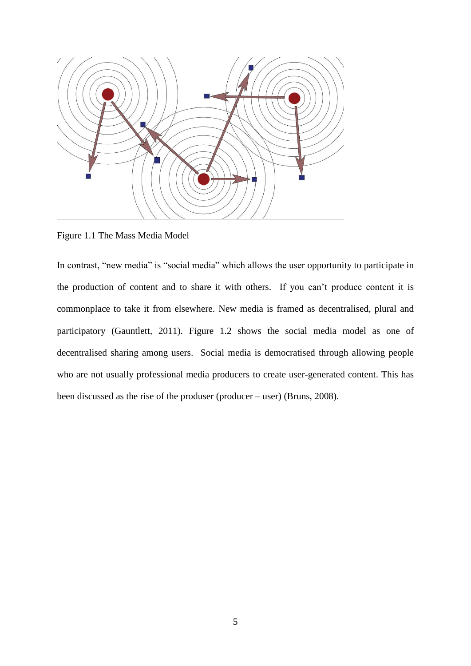

Figure 1.1 The Mass Media Model

In contrast, "new media" is "social media" which allows the user opportunity to participate in the production of content and to share it with others. If you can't produce content it is commonplace to take it from elsewhere. New media is framed as decentralised, plural and participatory (Gauntlett, 2011). Figure 1.2 shows the social media model as one of decentralised sharing among users. Social media is democratised through allowing people who are not usually professional media producers to create user-generated content. This has been discussed as the rise of the produser (producer – user) (Bruns, 2008).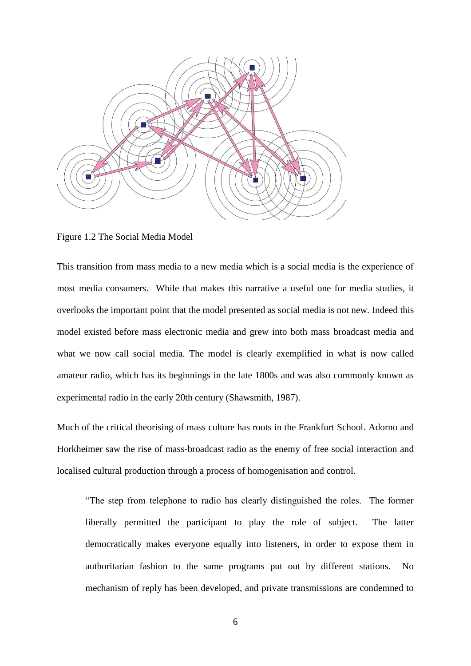

Figure 1.2 The Social Media Model

This transition from mass media to a new media which is a social media is the experience of most media consumers. While that makes this narrative a useful one for media studies, it overlooks the important point that the model presented as social media is not new. Indeed this model existed before mass electronic media and grew into both mass broadcast media and what we now call social media. The model is clearly exemplified in what is now called amateur radio, which has its beginnings in the late 1800s and was also commonly known as experimental radio in the early 20th century (Shawsmith, 1987).

Much of the critical theorising of mass culture has roots in the Frankfurt School. Adorno and Horkheimer saw the rise of mass-broadcast radio as the enemy of free social interaction and localised cultural production through a process of homogenisation and control.

"The step from telephone to radio has clearly distinguished the roles. The former liberally permitted the participant to play the role of subject. The latter democratically makes everyone equally into listeners, in order to expose them in authoritarian fashion to the same programs put out by different stations. No mechanism of reply has been developed, and private transmissions are condemned to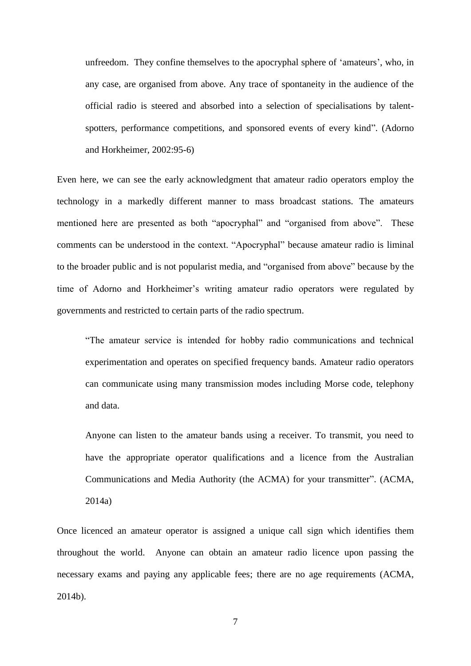unfreedom. They confine themselves to the apocryphal sphere of 'amateurs', who, in any case, are organised from above. Any trace of spontaneity in the audience of the official radio is steered and absorbed into a selection of specialisations by talentspotters, performance competitions, and sponsored events of every kind". (Adorno and Horkheimer, 2002:95-6)

Even here, we can see the early acknowledgment that amateur radio operators employ the technology in a markedly different manner to mass broadcast stations. The amateurs mentioned here are presented as both "apocryphal" and "organised from above". These comments can be understood in the context. "Apocryphal" because amateur radio is liminal to the broader public and is not popularist media, and "organised from above" because by the time of Adorno and Horkheimer's writing amateur radio operators were regulated by governments and restricted to certain parts of the radio spectrum.

"The amateur service is intended for hobby radio communications and technical experimentation and operates on specified frequency bands. Amateur radio operators can communicate using many transmission modes including Morse code, telephony and data.

Anyone can listen to the amateur bands using a receiver. To transmit, you need to have the appropriate operator qualifications and a licence from the Australian Communications and Media Authority (the ACMA) for your transmitter". (ACMA, 2014a)

Once licenced an amateur operator is assigned a unique call sign which identifies them throughout the world. Anyone can obtain an amateur radio licence upon passing the necessary exams and paying any applicable fees; there are no age requirements (ACMA, 2014b).

7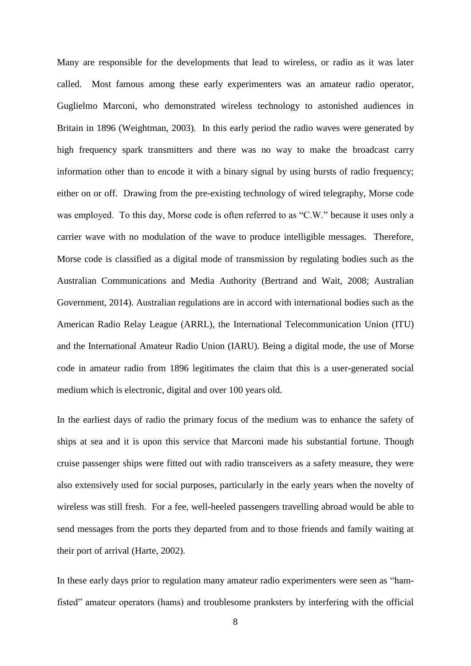Many are responsible for the developments that lead to wireless, or radio as it was later called. Most famous among these early experimenters was an amateur radio operator, Guglielmo Marconi, who demonstrated wireless technology to astonished audiences in Britain in 1896 (Weightman, 2003). In this early period the radio waves were generated by high frequency spark transmitters and there was no way to make the broadcast carry information other than to encode it with a binary signal by using bursts of radio frequency; either on or off. Drawing from the pre-existing technology of wired telegraphy, Morse code was employed. To this day, Morse code is often referred to as "C.W." because it uses only a carrier wave with no modulation of the wave to produce intelligible messages. Therefore, Morse code is classified as a digital mode of transmission by regulating bodies such as the Australian Communications and Media Authority (Bertrand and Wait, 2008; Australian Government, 2014). Australian regulations are in accord with international bodies such as the American Radio Relay League (ARRL), the International Telecommunication Union (ITU) and the International Amateur Radio Union (IARU). Being a digital mode, the use of Morse code in amateur radio from 1896 legitimates the claim that this is a user-generated social medium which is electronic, digital and over 100 years old.

In the earliest days of radio the primary focus of the medium was to enhance the safety of ships at sea and it is upon this service that Marconi made his substantial fortune. Though cruise passenger ships were fitted out with radio transceivers as a safety measure, they were also extensively used for social purposes, particularly in the early years when the novelty of wireless was still fresh. For a fee, well-heeled passengers travelling abroad would be able to send messages from the ports they departed from and to those friends and family waiting at their port of arrival (Harte, 2002).

In these early days prior to regulation many amateur radio experimenters were seen as "hamfisted" amateur operators (hams) and troublesome pranksters by interfering with the official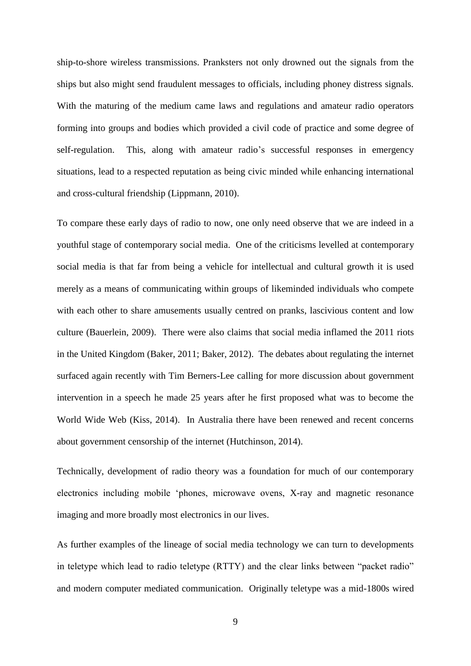ship-to-shore wireless transmissions. Pranksters not only drowned out the signals from the ships but also might send fraudulent messages to officials, including phoney distress signals. With the maturing of the medium came laws and regulations and amateur radio operators forming into groups and bodies which provided a civil code of practice and some degree of self-regulation. This, along with amateur radio's successful responses in emergency situations, lead to a respected reputation as being civic minded while enhancing international and cross-cultural friendship (Lippmann, 2010).

To compare these early days of radio to now, one only need observe that we are indeed in a youthful stage of contemporary social media. One of the criticisms levelled at contemporary social media is that far from being a vehicle for intellectual and cultural growth it is used merely as a means of communicating within groups of likeminded individuals who compete with each other to share amusements usually centred on pranks, lascivious content and low culture (Bauerlein, 2009). There were also claims that social media inflamed the 2011 riots in the United Kingdom (Baker, 2011; Baker, 2012). The debates about regulating the internet surfaced again recently with Tim Berners-Lee calling for more discussion about government intervention in a speech he made 25 years after he first proposed what was to become the World Wide Web (Kiss, 2014). In Australia there have been renewed and recent concerns about government censorship of the internet (Hutchinson, 2014).

Technically, development of radio theory was a foundation for much of our contemporary electronics including mobile 'phones, microwave ovens, X-ray and magnetic resonance imaging and more broadly most electronics in our lives.

As further examples of the lineage of social media technology we can turn to developments in teletype which lead to radio teletype (RTTY) and the clear links between "packet radio" and modern computer mediated communication. Originally teletype was a mid-1800s wired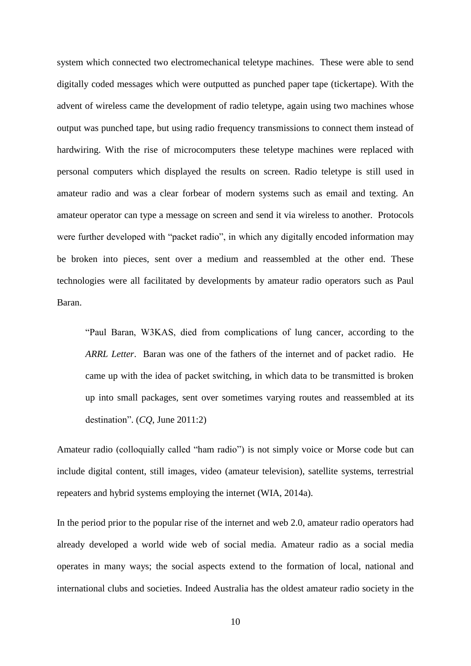system which connected two electromechanical teletype machines. These were able to send digitally coded messages which were outputted as punched paper tape (tickertape). With the advent of wireless came the development of radio teletype, again using two machines whose output was punched tape, but using radio frequency transmissions to connect them instead of hardwiring. With the rise of microcomputers these teletype machines were replaced with personal computers which displayed the results on screen. Radio teletype is still used in amateur radio and was a clear forbear of modern systems such as email and texting. An amateur operator can type a message on screen and send it via wireless to another. Protocols were further developed with "packet radio", in which any digitally encoded information may be broken into pieces, sent over a medium and reassembled at the other end. These technologies were all facilitated by developments by amateur radio operators such as Paul Baran.

"Paul Baran, W3KAS, died from complications of lung cancer, according to the *ARRL Letter*. Baran was one of the fathers of the internet and of packet radio. He came up with the idea of packet switching, in which data to be transmitted is broken up into small packages, sent over sometimes varying routes and reassembled at its destination". (*CQ*, June 2011:2)

Amateur radio (colloquially called "ham radio") is not simply voice or Morse code but can include digital content, still images, video (amateur television), satellite systems, terrestrial repeaters and hybrid systems employing the internet (WIA, 2014a).

In the period prior to the popular rise of the internet and web 2.0, amateur radio operators had already developed a world wide web of social media. Amateur radio as a social media operates in many ways; the social aspects extend to the formation of local, national and international clubs and societies. Indeed Australia has the oldest amateur radio society in the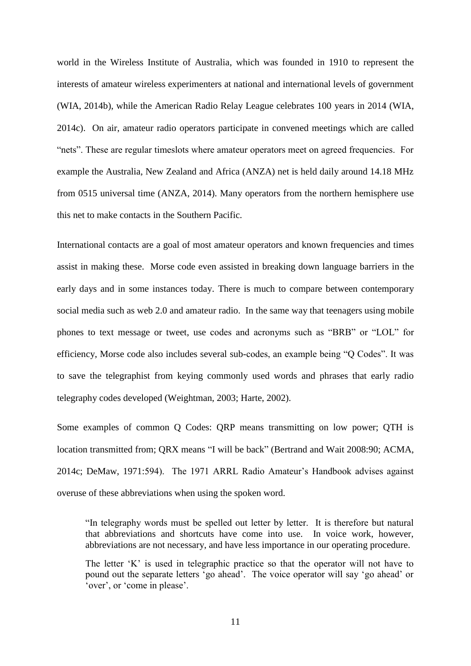world in the Wireless Institute of Australia, which was founded in 1910 to represent the interests of amateur wireless experimenters at national and international levels of government (WIA, 2014b), while the American Radio Relay League celebrates 100 years in 2014 (WIA, 2014c). On air, amateur radio operators participate in convened meetings which are called "nets". These are regular timeslots where amateur operators meet on agreed frequencies. For example the Australia, New Zealand and Africa (ANZA) net is held daily around 14.18 MHz from 0515 universal time (ANZA, 2014). Many operators from the northern hemisphere use this net to make contacts in the Southern Pacific.

International contacts are a goal of most amateur operators and known frequencies and times assist in making these. Morse code even assisted in breaking down language barriers in the early days and in some instances today. There is much to compare between contemporary social media such as web 2.0 and amateur radio. In the same way that teenagers using mobile phones to text message or tweet, use codes and acronyms such as "BRB" or "LOL" for efficiency, Morse code also includes several sub-codes, an example being "Q Codes". It was to save the telegraphist from keying commonly used words and phrases that early radio telegraphy codes developed (Weightman, 2003; Harte, 2002).

Some examples of common Q Codes: QRP means transmitting on low power; QTH is location transmitted from; QRX means "I will be back" (Bertrand and Wait 2008:90; ACMA, 2014c; DeMaw, 1971:594). The 1971 ARRL Radio Amateur's Handbook advises against overuse of these abbreviations when using the spoken word.

"In telegraphy words must be spelled out letter by letter. It is therefore but natural that abbreviations and shortcuts have come into use. In voice work, however, abbreviations are not necessary, and have less importance in our operating procedure.

The letter 'K' is used in telegraphic practice so that the operator will not have to pound out the separate letters 'go ahead'. The voice operator will say 'go ahead' or 'over', or 'come in please'.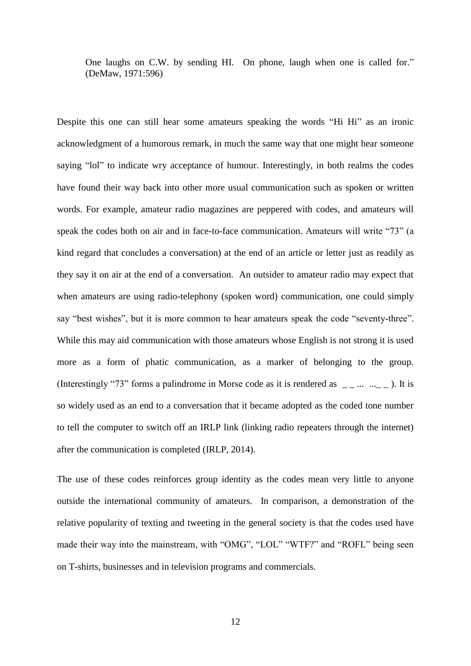One laughs on C.W. by sending HI. On phone, laugh when one is called for." (DeMaw, 1971:596)

Despite this one can still hear some amateurs speaking the words "Hi Hi" as an ironic acknowledgment of a humorous remark, in much the same way that one might hear someone saying "lol" to indicate wry acceptance of humour. Interestingly, in both realms the codes have found their way back into other more usual communication such as spoken or written words. For example, amateur radio magazines are peppered with codes, and amateurs will speak the codes both on air and in face-to-face communication. Amateurs will write "73" (a kind regard that concludes a conversation) at the end of an article or letter just as readily as they say it on air at the end of a conversation. An outsider to amateur radio may expect that when amateurs are using radio-telephony (spoken word) communication, one could simply say "best wishes", but it is more common to hear amateurs speak the code "seventy-three". While this may aid communication with those amateurs whose English is not strong it is used more as a form of phatic communication, as a marker of belonging to the group. (Interestingly "73" forms a palindrome in Morse code as it is rendered as  $\Box$ ... ...  $\Box$ ). It is so widely used as an end to a conversation that it became adopted as the coded tone number to tell the computer to switch off an IRLP link (linking radio repeaters through the internet) after the communication is completed (IRLP, 2014).

The use of these codes reinforces group identity as the codes mean very little to anyone outside the international community of amateurs. In comparison, a demonstration of the relative popularity of texting and tweeting in the general society is that the codes used have made their way into the mainstream, with "OMG", "LOL" "WTF?" and "ROFL" being seen on T-shirts, businesses and in television programs and commercials.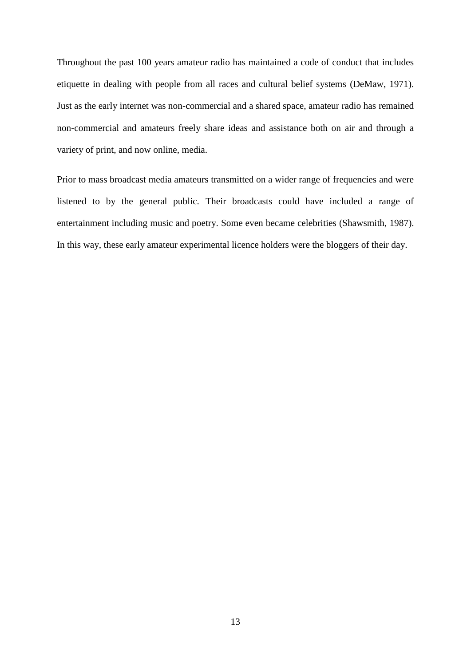Throughout the past 100 years amateur radio has maintained a code of conduct that includes etiquette in dealing with people from all races and cultural belief systems (DeMaw, 1971). Just as the early internet was non-commercial and a shared space, amateur radio has remained non-commercial and amateurs freely share ideas and assistance both on air and through a variety of print, and now online, media.

Prior to mass broadcast media amateurs transmitted on a wider range of frequencies and were listened to by the general public. Their broadcasts could have included a range of entertainment including music and poetry. Some even became celebrities (Shawsmith, 1987). In this way, these early amateur experimental licence holders were the bloggers of their day.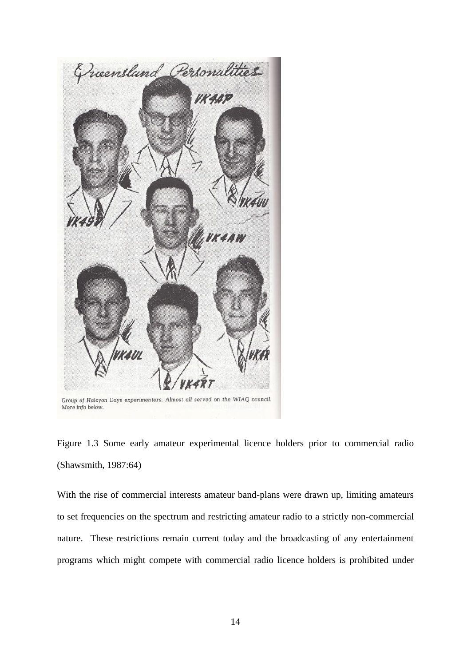

Group of Halcyon Days experimenters. Almost all served on the WIAQ council. More info below.

Figure 1.3 Some early amateur experimental licence holders prior to commercial radio (Shawsmith, 1987:64)

With the rise of commercial interests amateur band-plans were drawn up, limiting amateurs to set frequencies on the spectrum and restricting amateur radio to a strictly non-commercial nature. These restrictions remain current today and the broadcasting of any entertainment programs which might compete with commercial radio licence holders is prohibited under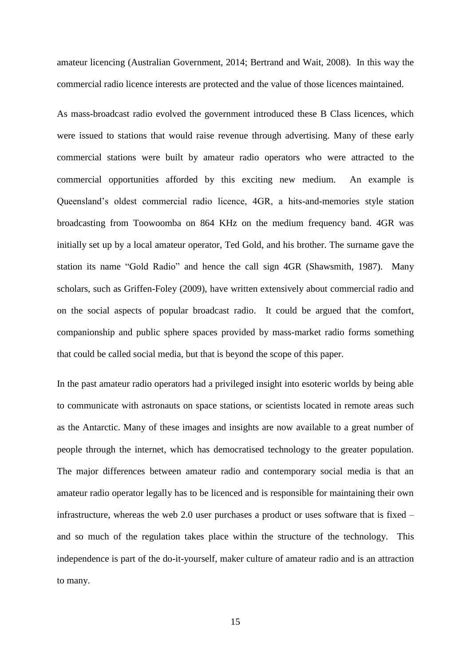amateur licencing (Australian Government, 2014; Bertrand and Wait, 2008). In this way the commercial radio licence interests are protected and the value of those licences maintained.

As mass-broadcast radio evolved the government introduced these B Class licences, which were issued to stations that would raise revenue through advertising. Many of these early commercial stations were built by amateur radio operators who were attracted to the commercial opportunities afforded by this exciting new medium. An example is Queensland's oldest commercial radio licence, 4GR, a hits-and-memories style station broadcasting from Toowoomba on 864 KHz on the medium frequency band. 4GR was initially set up by a local amateur operator, Ted Gold, and his brother. The surname gave the station its name "Gold Radio" and hence the call sign 4GR (Shawsmith, 1987). Many scholars, such as Griffen-Foley (2009), have written extensively about commercial radio and on the social aspects of popular broadcast radio. It could be argued that the comfort, companionship and public sphere spaces provided by mass-market radio forms something that could be called social media, but that is beyond the scope of this paper.

In the past amateur radio operators had a privileged insight into esoteric worlds by being able to communicate with astronauts on space stations, or scientists located in remote areas such as the Antarctic. Many of these images and insights are now available to a great number of people through the internet, which has democratised technology to the greater population. The major differences between amateur radio and contemporary social media is that an amateur radio operator legally has to be licenced and is responsible for maintaining their own infrastructure, whereas the web 2.0 user purchases a product or uses software that is fixed – and so much of the regulation takes place within the structure of the technology. This independence is part of the do-it-yourself, maker culture of amateur radio and is an attraction to many.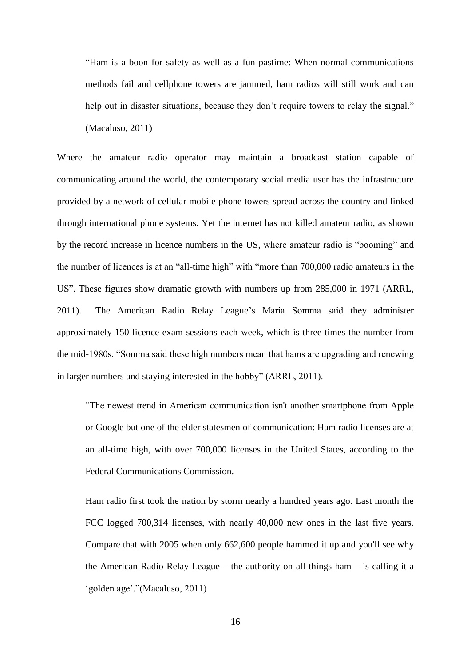"Ham is a boon for safety as well as a fun pastime: When normal communications methods fail and cellphone towers are jammed, ham radios will still work and can help out in disaster situations, because they don't require towers to relay the signal." (Macaluso, 2011)

Where the amateur radio operator may maintain a broadcast station capable of communicating around the world, the contemporary social media user has the infrastructure provided by a network of cellular mobile phone towers spread across the country and linked through international phone systems. Yet the internet has not killed amateur radio, as shown by the record increase in licence numbers in the US, where amateur radio is "booming" and the number of licences is at an "all-time high" with "more than 700,000 radio amateurs in the US". These figures show dramatic growth with numbers up from 285,000 in 1971 (ARRL, 2011). The American Radio Relay League's Maria Somma said they administer approximately 150 licence exam sessions each week, which is three times the number from the mid-1980s. "Somma said these high numbers mean that hams are upgrading and renewing in larger numbers and staying interested in the hobby" (ARRL, 2011).

"The newest trend in American communication isn't another smartphone from Apple or Google but one of the elder statesmen of communication: Ham radio licenses are at an all-time high, with over 700,000 licenses in the United States, according to the Federal Communications Commission.

Ham radio first took the nation by storm nearly a hundred years ago. Last month the FCC logged 700,314 licenses, with nearly 40,000 new ones in the last five years. Compare that with 2005 when only 662,600 people hammed it up and you'll see why the American Radio Relay League – the authority on all things ham – is calling it a 'golden age'."(Macaluso, 2011)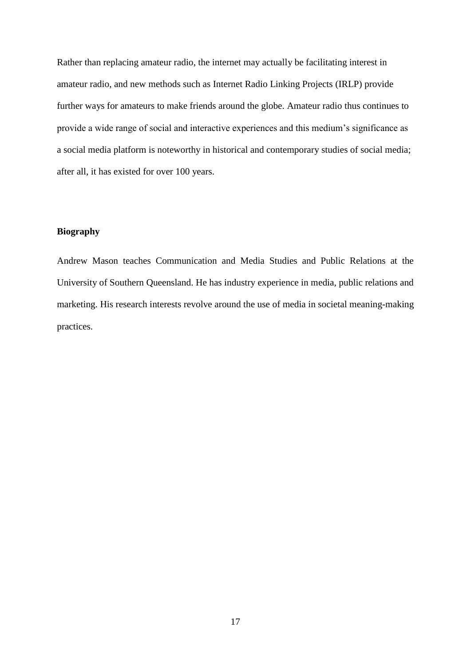Rather than replacing amateur radio, the internet may actually be facilitating interest in amateur radio, and new methods such as Internet Radio Linking Projects (IRLP) provide further ways for amateurs to make friends around the globe. Amateur radio thus continues to provide a wide range of social and interactive experiences and this medium's significance as a social media platform is noteworthy in historical and contemporary studies of social media; after all, it has existed for over 100 years.

### **Biography**

Andrew Mason teaches Communication and Media Studies and Public Relations at the University of Southern Queensland. He has industry experience in media, public relations and marketing. His research interests revolve around the use of media in societal meaning-making practices.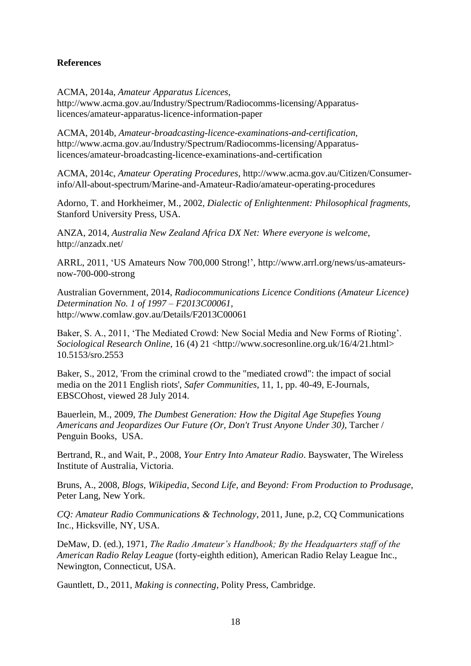## **References**

ACMA, 2014a, *Amateur Apparatus Licences,* 

http://www.acma.gov.au/Industry/Spectrum/Radiocomms-licensing/Apparatuslicences/amateur-apparatus-licence-information-paper

ACMA, 2014b, *Amateur-broadcasting-licence-examinations-and-certification,* http://www.acma.gov.au/Industry/Spectrum/Radiocomms-licensing/Apparatuslicences/amateur-broadcasting-licence-examinations-and-certification

ACMA, 2014c, *Amateur Operating Procedures,* http://www.acma.gov.au/Citizen/Consumerinfo/All-about-spectrum/Marine-and-Amateur-Radio/amateur-operating-procedures

Adorno, T. and Horkheimer, M., 2002, *Dialectic of Enlightenment: Philosophical fragments,* Stanford University Press, USA.

ANZA, 2014, *Australia New Zealand Africa DX Net: Where everyone is welcome*, http://anzadx.net/

ARRL, 2011, 'US Amateurs Now 700,000 Strong!', http://www.arrl.org/news/us-amateursnow-700-000-strong

Australian Government, 2014, *Radiocommunications Licence Conditions (Amateur Licence) Determination No. 1 of 1997 – F2013C00061,* http://www.comlaw.gov.au/Details/F2013C00061

Baker, S. A., 2011, 'The Mediated Crowd: New Social Media and New Forms of Rioting'. *Sociological Research Online*, 16 (4) 21 <http://www.socresonline.org.uk/16/4/21.html> 10.5153/sro.2553

Baker, S., 2012, 'From the criminal crowd to the "mediated crowd": the impact of social media on the 2011 English riots', *Safer Communities*, 11, 1, pp. 40-49, E-Journals, EBSCOhost, viewed 28 July 2014.

Bauerlein, M., 2009, *The Dumbest Generation: How the Digital Age Stupefies Young Americans and Jeopardizes Our Future (Or, Don't Trust Anyone Under 30),* Tarcher / Penguin Books, USA.

Bertrand, R., and Wait, P., 2008, *Your Entry Into Amateur Radio*. Bayswater, The Wireless Institute of Australia, Victoria.

Bruns, A., 2008, *Blogs, Wikipedia, Second Life, and Beyond: From Production to Produsage,* Peter Lang, New York.

*CQ: Amateur Radio Communications & Technology*, 2011, June, p.2, CQ Communications Inc., Hicksville, NY, USA.

DeMaw, D. (ed.), 1971, *The Radio Amateur's Handbook; By the Headquarters staff of the American Radio Relay League* (forty-eighth edition), American Radio Relay League Inc., Newington, Connecticut, USA.

Gauntlett, D., 2011, *Making is connecting*, Polity Press, Cambridge.